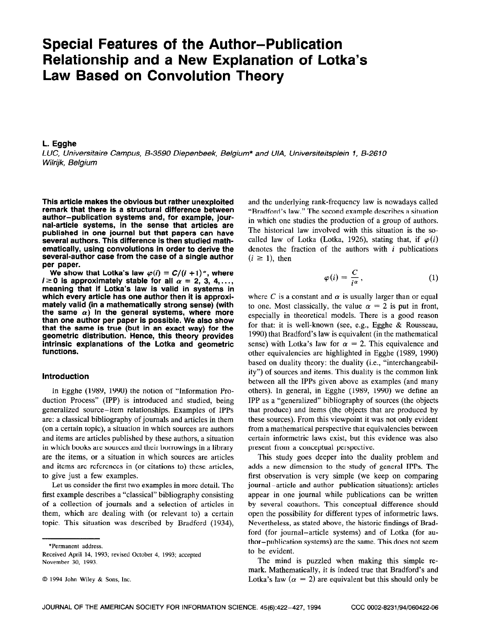# Special Features of the Author-Publication Relationship and a New Explanation of Lotka's Law Based on Convolution Theory

## L. Egghe

LUC, Universitaire Campus, B-3590 Diepenbeek, Belgium\* and U/A, Universiteitsplein 1, B-2610 Wilrijk, Belgium

This article makes the obvious but rather unexploited remark that there is a structural difference between author-publication systems and, for example, journal-article systems, in the sense that articles are published in one journal but that papers can have several authors. This difference is then studied mathematically, using convolutions in order to derive the several-author case from the case of a single author per paper.

We show that Lotka's law  $\varphi(i) = C/(i + 1)^{\alpha}$ , where  $i \geq 0$  is approximately stable for all  $\alpha = 2, 3, 4, \ldots$ , meaning that if Lotka's law is valid in systems in which every article has one author then it is approximately valid (in a mathematically strong sense) (with the same  $\alpha$ ) in the general systems, where more than one author per paper is possible. We also show that the same is true (but in an exact way) for the geometric distribution. Hence, this theory provides intrinsic explanations of the Lotka and geometric functions.

## Introduction

In Egghe (1989, 1990) the notion of "Information Production Process" (IPP) is introduced and studied, being generalized source-item relationships. Examples of IPPs are: a classical bibliography of journals and articles in them (on a certain topic), a situation in which sources are authors and items are articles published by these authors, a situation in which books are sources and their borrowings in a library are the items, or a situation in which sources are articles and items are references in (or citations to) these articles, to give just a few examples.

Let us consider the first two examples in more detail. The first example describes a "classical" bibliography consisting of a collection of journals and a selection of articles in them, which are dealing with (or relevant to) a certain topic. This situation was described by Bradford (1934),

\*Permanent address.

Received April 14, 1993; revised October 4, 1993; accepted November 30, 1993.

and the underlying rank-frequency law is nowadays called "Bradford's law." The second example describes a situation in which one studies the production of a group of authors. The historical law involved with this situation is the socalled law of Lotka (Lotka, 1926), stating that, if  $\varphi(i)$ denotes the fraction of the authors with  $i$  publications  $(i \geq 1)$ , then

$$
\varphi(i) = \frac{C}{i^{\alpha}},\tag{1}
$$

where C is a constant and  $\alpha$  is usually larger than or equal to one. Most classically, the value  $\alpha = 2$  is put in front, especially in theoretical models. There is a good reason for that: it is well-known (see, e.g., Egghe & Rousseau, 1990) that Bradford's law is equivalent (in the mathematical sense) with Lotka's law for  $\alpha = 2$ . This equivalence and other equivalencies are highlighted in Egghe (1989, 1990) based on duality theory: the duality (i.e., "interchangeability") of sources and items. This duality is the common link between all the IPPs given above as examples (and many others). In general, in Egghe (1989, 1990) we define an IPP as a "generalized" bibliography of sources (the objects that produce) and items (the objects that are produced by these sources). From this viewpoint it was not only evident from a mathematical perspective that equivalencies between certain informetric laws exist, but this evidence was also present from a conceptual perspective.

This study goes deeper into the duality problem and adds a new dimension to the study of general IPPs. The first observation is very simple (we keep on comparing journal-article and author-publication situations): articles appear in one journal while publications can be written by several coauthors. This conceptual difference should open the possibility for different types of informetric laws. Nevertheless, as stated above, the historic findings of Bradford (for journal-article systems) and of Lotka (for author-publication systems) are the same. This does not seem to be evident.

The mind is puzzled when making this simple remark. Mathematically, it is indeed true that Bradford's and Lotka's law ( $\alpha = 2$ ) are equivalent but this should only be

<sup>0 1994</sup> John Wiley & Sons, Inc.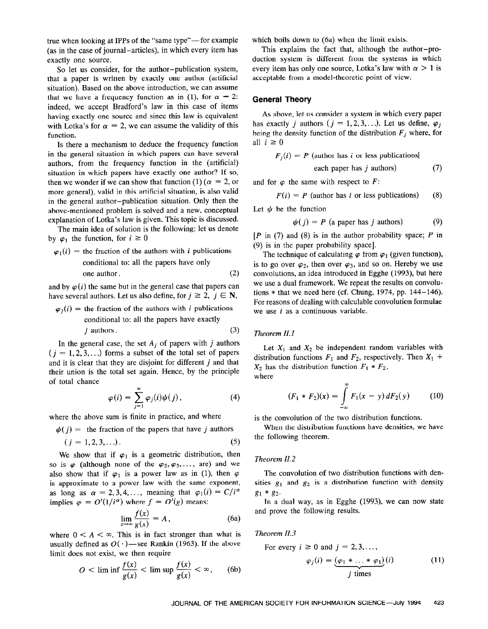true when looking at IPPs of the "same type"-for example (as in the case of journal-articles), in which every item has exactly one source.

So let us consider, for the author-publication system, that a paper is written by exactly one author (artificial situation). Based on the above introduction, we can assume that we have a frequency function as in (1), for  $\alpha = 2$ : indeed, we accept Bradford's law in this case of items having exactly one source and since this law is equivalent with Lotka's for  $\alpha = 2$ , we can assume the validity of this function.

Is there a mechanism to deduce the frequency function in the general situation in which papers can have several authors, from the frequency function in the (artificial) situation in which papers have exactly one author? If so, then we wonder if we can show that function (1) ( $\alpha = 2$ , or more general), valid in this artificial situation, is also valid in the general author-publication situation. Only then the above-mentioned problem is solved and a new, conceptual explanation of Lotka's law is given. This topic is discussed.

The main idea of solution is the following: let us denote by  $\varphi_1$  the function, for  $i \geq 0$ 

$$
\varphi_1(i) =
$$
 the fraction of the authors with *i* publications  
conditional to: all the papers have only  
one author. (2)

and by  $\varphi(i)$  the same but in the general case that papers can have several authors. Let us also define, for  $j \ge 2$ ,  $j \in \mathbb{N}$ ,

$$
\varphi_j(i)
$$
 = the fraction of the authors with *i* publications  
conditional to: all the papers have exactly  
*j* authors. (3)

In the general case, the set  $A_i$  of papers with j authors  $(j = 1, 2, 3, ...)$  forms a subset of the total set of papers and it is clear that they are disjoint for different  $j$  and that their union is the total set again. Hence, by the principle of total chance

$$
\varphi(i) = \sum_{j=1}^{\infty} \varphi_j(i) \psi(j), \qquad (4)
$$

where the above sum is finite in practice, and where

 $\psi(j)$  = the fraction of the papers that have j authors

$$
(j = 1, 2, 3, \ldots). \tag{5}
$$

We show that if  $\varphi_1$  is a geometric distribution, then so is  $\varphi$  (although none of the  $\varphi_2, \varphi_3, \ldots$ , are) and we also show that if  $\varphi_1$  is a power law as in (1), then  $\varphi$ is approximate to a power law with the same exponent, as long as  $\alpha = 2, 3, 4, \ldots$ , meaning that  $\varphi_1(i) = C/i^{\alpha}$ implies  $\varphi = O'(1/i^{\alpha})$  where  $f = O'(g)$  means:

$$
\lim_{x \to \infty} \frac{f(x)}{g(x)} = A, \tag{6a}
$$

where  $0 \leq A \leq \infty$ . This is in fact stronger than what is usually defined as  $O(·)$ —see Rankin (1963). If the above limit does not exist, we then require

$$
O < \liminf \frac{f(x)}{g(x)} < \limsup \frac{f(x)}{g(x)} < \infty, \qquad \text{(6b)}
$$

which boils down to (6a) when the limit exists.

This explains the fact that, although the author-production system is different from the systems in which every item has only one source, Lotka's law with  $\alpha > 1$  is acceptable from a model-theoretic point of view.

#### General Theory

As above, let us consider a system in which every paper has exactly j authors ( $j = 1, 2, 3, \ldots$ ). Let us define,  $\varphi_j$ being the density function of the distribution  $F_i$  where, for all  $i \geq 0$ 

$$
F_j(i) = P
$$
 (author has *i* or less publications)

each paper has 
$$
j
$$
 authors) (7)

and for  $\varphi$  the same with respect to F:

$$
F(i) = P
$$
 (author has *i* or less publications) (8)

Let  $\psi$  be the function

$$
\psi(j) = P \text{ (a paper has } j \text{ authors)}
$$
 (9)

 $[P \text{ in } (7) \text{ and } (8) \text{ is in the author probability space; } P \text{ in }$ (9) is in the paper probability space].

The technique of calculating  $\varphi$  from  $\varphi_1$  (given function), is to go over  $\varphi_2$ , then over  $\varphi_3$ , and so on. Hereby we use convolutions, an idea introduced in Egghe (1993), but here we use a dual framework. We repeat the results on convolutions  $*$  that we need here (cf. Chung, 1974, pp. 144-146). For reasons of dealing with calculable convolution formulae we use  $i$  as a continuous variable.

## Theorem II.1

Let  $X_1$  and  $X_2$  be independent random variables with distribution functions  $F_1$  and  $F_2$ , respectively. Then  $X_1$  +  $X_2$  has the distribution function  $F_1 * F_2$ , where

$$
(F_1 * F_2)(x) = \int_{-\infty}^{\infty} F_1(x - y) dF_2(y) \qquad (10)
$$

is the convolution of the two distribution functions.

When the distribution functions have densities, we have the following theorem.

#### Theorem II.2

The convolution of two distribution functions with densities  $g_1$  and  $g_2$  is a distribution function with density  $g_1 * g_2$ .

In a dual way, as in Egghe (1993), we can now state and prove the following results.

### Theorem II.3

For every  $i \ge 0$  and  $j = 2, 3, \ldots$ ,

$$
\varphi_j(i) = \underbrace{(\varphi_1 * \dots * \varphi_1)}_{j \text{ times}}(i) \tag{11}
$$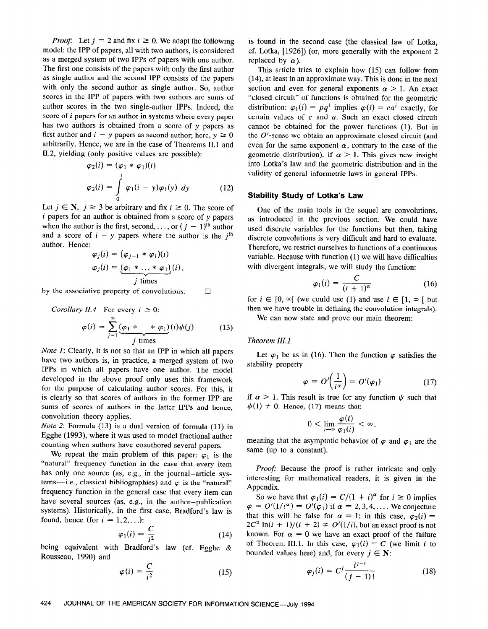*Proof:* Let  $j = 2$  and fix  $i \ge 0$ . We adapt the following model: the IPP of papers, all with two authors, is considered as a merged system of two IPPs of papers with one author. The first one consists of the papers with only the first author as single author and the second IPP consists of the papers with only the second author as single author. So, author scores in the IPP of papers with two authors are sums of author scores in the two single-author IPPs. Indeed, the score of *i* papers for an author in systems where every paper has two authors is obtained from a score of y papers as first author and  $i - y$  papers as second author; here,  $y \ge 0$ arbitrarily. Hence, we are in the case of Theorems II.1 and 11.2, yielding (only positive values are possible):

$$
\varphi_2(i) = (\varphi_1 * \varphi_1)(i)
$$
  

$$
\varphi_2(i) = \int_0^i \varphi_1(i - y)\varphi_1(y) \ dy
$$
 (12)

Let  $j \in \mathbb{N}$ ,  $j \ge 3$  be arbitrary and fix  $i \ge 0$ . The score of  $i$  papers for an author is obtained from a score of  $y$  papers when the author is the first, second,..., or  $(j - 1)$ <sup>th</sup> author and a score of  $i - y$  papers where the author is the  $j<sup>th</sup>$ author. Hence:  $\sqrt{2}$ 

$$
\varphi_j(i) = (\varphi_{j-1} * \varphi_1)(i)
$$
  

$$
\varphi_j(i) = \underbrace{(\varphi_1 * \dots * \varphi_1)}_{j \text{ times}}(i)
$$

by the associative property of convolutions.  $\Box$ 

Corollary II.4 For every 
$$
i \ge 0
$$
:  
\n
$$
\varphi(i) = \sum_{j=1}^{\infty} \underbrace{(\varphi_1 * \dots * \varphi_1)}_{j \text{ times}}(i) \psi(j) \qquad (13)
$$

Note 1: Clearly, it is not so that an IPP in which all papers have two authors is, in practice, a merged system of two IPPs in which all papers have one author. The model developed in the above proof only uses this framework for the purpose of calculating author scores. For this, it is clearly so that scores of authors in the former IPP are sums of scores of authors in the latter IPPs and hence, convolution theory applies.

Note 2: Formula (13) is a dual version of formula (11) in Egghe (1993), where it was used to model fractional author counting when authors have coauthored several papers.

We repeat the main problem of this paper:  $\varphi_1$  is the "natural" frequency function in the case that every item has only one source (as, e.g., in the journal-article systems-i.e., classical bibliographies) and  $\varphi$  is the "natural" frequency function in the general case that every item can have several sources (as, e.g., in the author-publication systems). Historically, in the first case, Bradford's law is found, hence (for  $i = 1, 2, \ldots$ ):

$$
\varphi_1(i) = \frac{C}{i^2} \tag{14}
$$

being equivalent with Bradford's law (cf. Egghe & Rousseau, 1990) and

$$
\varphi(i) = \frac{C}{i^2} \tag{15}
$$

is found in the second case (the classical law of Lotka, cf. Lotka, [1926]) (or, more generally with the exponent 2 replaced by  $\alpha$ ).

This article tries to explain how (15) can follow from (14) at least in an approximate way. This is done in the next section and even for general exponents  $\alpha > 1$ . An exact "closed circuit" of functions is obtained for the geometric distribution:  $\varphi_1(i) = pq^i$  implies  $\varphi(i) = ca^i$  exactly, for certain values of  $c$  and  $a$ . Such an exact closed circuit cannot be obtained for the power functions (1). But in the  $O'$ -sense we obtain an approximate closed circuit (and even for the same exponent  $\alpha$ , contrary to the case of the geometric distribution), if  $\alpha > 1$ . This gives new insight into Lotka's law and the geometric distribution and in the validity of general informetric laws in general IPPs.

## Stability Study of Lotka's Law

One of the main tools in the sequel are convolutions, as introduced in the previous section. We could have used discrete variables for the functions but then, taking discrete convolutions is very difficult and hard to evaluate. Therefore, we restrict ourselves to functions of a continuous variable. Because with function (1) we will have difficulties with divergent integrals, we will study the function:

$$
\varphi_1(i) = \frac{C}{(i+1)^\alpha} \tag{16}
$$

for  $i \in [0, \infty]$  (we could use (1) and use  $i \in [1, \infty]$  but then we have trouble in defining the convolution integrals).

We can now state and prove our main theorem:

## Theorem III. 1

Let  $\varphi_1$  be as in (16). Then the function  $\varphi$  satisfies the stability property

$$
\varphi = O'\left(\frac{1}{i^{\alpha}}\right) = O'(\varphi_1) \tag{17}
$$

if  $\alpha > 1$ . This result is true for any function  $\psi$  such that  $\psi(1) \neq 0$ . Hence, (17) means that:

$$
0<\lim_{i\to\infty}\frac{\varphi(i)}{\varphi_1(i)}<\infty,
$$

meaning that the asymptotic behavior of  $\varphi$  and  $\varphi_1$  are the same (up to a constant).

Proof: Because the proof is rather intricate and only interesting for mathematical readers, it is given in the Appendix.

So we have that  $\varphi_1(i) = C/(1 + i)^{\alpha}$  for  $i \ge 0$  implies  $\varphi = O'(1/i^{\alpha}) = O'(\varphi_1)$  if  $\alpha = 2,3,4,...$  We conjecture that this will be false for  $\alpha = 1$ ; in this case,  $\varphi_2(i) =$  $2C^2 \ln(i + 1)/(i + 2) \neq O'(1/i)$ , but an exact proof is not known. For  $\alpha = 0$  we have an exact proof of the failure of Theorem III.1. In this case,  $\varphi_1(i) = C$  (we limit *i* to bounded values here) and, for every  $j \in N$ :

$$
\varphi_j(i) = C^j \frac{i^{j-1}}{(j-1)!} \tag{18}
$$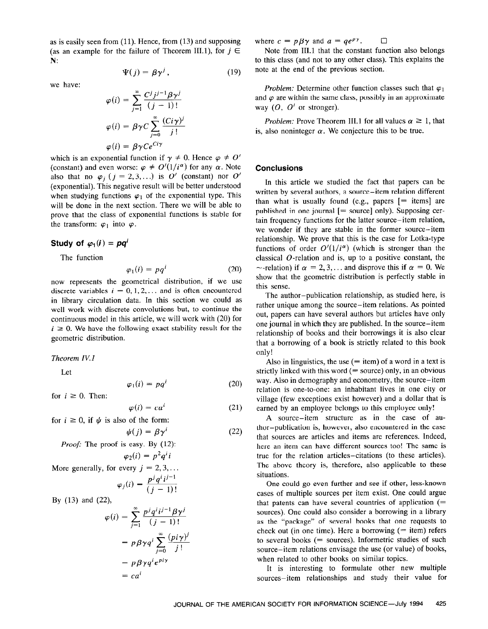as is easily seen from (11). Hence, from (13) and supposing (as an example for the failure of Theorem III.1), for  $j \in$ N:

we have:

$$
\varphi(i) = \sum_{j=1}^{\infty} \frac{C^j j^{j-1} \beta \gamma^j}{(j-1)!}
$$

$$
\varphi(i) = \beta \gamma C \sum_{j=0}^{\infty} \frac{(C^i \gamma)^j}{j!}
$$

$$
\varphi(i) = \beta \gamma C e^{C^i \gamma}
$$

 $\Psi(j) = \beta \gamma^{j}$ , (19)

which is an exponential function if  $\gamma \neq 0$ . Hence  $\varphi \neq 0'$ (constant) and even worse:  $\varphi \neq O'(1/i^{\alpha})$  for any  $\alpha$ . Note also that no  $\varphi_i$   $(j = 2,3,...)$  is O' (constant) nor O' (exponential). This negative result will be better understood when studying functions  $\varphi_1$  of the exponential type. This will be done in the next section. There we will be able to prove that the class of exponential functions is stable for the transform:  $\varphi_1$  into  $\varphi$ .

## Study of  $\varphi_1(i) = pq^i$

The function

$$
\varphi_1(i) = pq^i \tag{20}
$$

now represents the geometrical distribution, if we use discrete variables  $i = 0, 1, 2, \ldots$  and is often encountered in library circulation data. In this section we could as well work with discrete convolutions but, to continue the continuous model in this article, we will work with (20) for  $i \geq 0$ . We have the following exact stability result for the geometric distribution.

#### Theorem IV.1

Let

$$
\varphi_1(i) = pq^i \tag{20}
$$

for  $i \geq 0$ . Then:

$$
\varphi(i) = ca^i \tag{21}
$$

(22)

for  $i \ge 0$ , if  $\psi$  is also of the form:

$$
\psi(j) = \beta \gamma^{i}
$$
  
*Proof:* The proof is easy. By (12):  

$$
\varphi_2(i) = p^2 q^{i} i
$$

More generally, for every  $j = 2, 3, \ldots$ 

$$
\varphi_j(i) = \frac{p^j q^i i^{j-1}}{(j-1)!}
$$

By (13) and (22)

$$
\varphi(i) = \sum_{j=1}^{\infty} \frac{p^j q^i i^{j-1} \beta \gamma^j}{(j-1)!}
$$

$$
= p \beta \gamma q^i \sum_{j=0}^{\infty} \frac{(p i \gamma)^j}{j!}
$$

$$
= p \beta \gamma q^i e^{pi \gamma}
$$

$$
= c a^i
$$

where  $c = p \beta \gamma$  and  $a = q e^{p \gamma}$ .  $\Box$ 

Note from III.1 that the constant function also belongs to this class (and not to any other class). This explains the note at the end of the previous section.

*Problem:* Determine other function classes such that  $\varphi_1$ and  $\varphi$  are within the same class, possibly in an approximate way  $(O, O')$  or stronger).

*Problem:* Prove Theorem III.1 for all values  $\alpha \geq 1$ , that is, also noninteger  $\alpha$ . We conjecture this to be true.

## **Conclusions**

In this article we studied the fact that papers can be written by several authors, a source-item relation different than what is usually found (e.g., papers  $[=$  items] are published in one journal  $[=$  source] only). Supposing certain frequency functions for the latter source-item relation, we wonder if they are stable in the former source-item relationship. We prove that this is the case for Lotka-type functions of order  $O'(1/i^{\alpha})$  (which is stronger than the classical  $O$ -relation and is, up to a positive constant, the  $\sim$ -relation) if  $\alpha = 2,3,...$  and disprove this if  $\alpha = 0$ . We show that the geometric distribution is perfectly stable in this sense.

The author-publication relationship, as studied here, is rather unique among the source-item relations. As pointed out, papers can have several authors but articles have only one journal in which they are published. In the source-item relationship of books and their borrowings it is also clear that a borrowing of a book is strictly related to this book only!

Also in linguistics, the use  $(=$  item) of a word in a text is strictly linked with this word  $(= source)$  only, in an obvious way. Also in demography and econometry, the source-item relation is one-to-one: an inhabitant lives in one city or village (few exceptions exist however) and a dollar that is earned by an employee belongs to this employee only!

A source-item structure as in the case of author-publication is, however, also encountered in the case that sources are articles and items are references. Indeed, here an item can have different sources too! The same is true for the relation articles-citations (to these articles). The above theory is, therefore, also applicable to these situations.

One could go even further and see if other, less-known cases of multiple sources per item exist. One could argue that patents can have several countries of application  $(=$ sources). One could also consider a borrowing in a library as the "package" of several books that one requests to check out (in one time). Here a borrowing  $(=$  item) refers to several books (= sources). Informetric studies of such source-item relations envisage the use (or value) of books, when related to other books on similar topics.

It is interesting to formulate other new multiple sources-item relationships and study their value for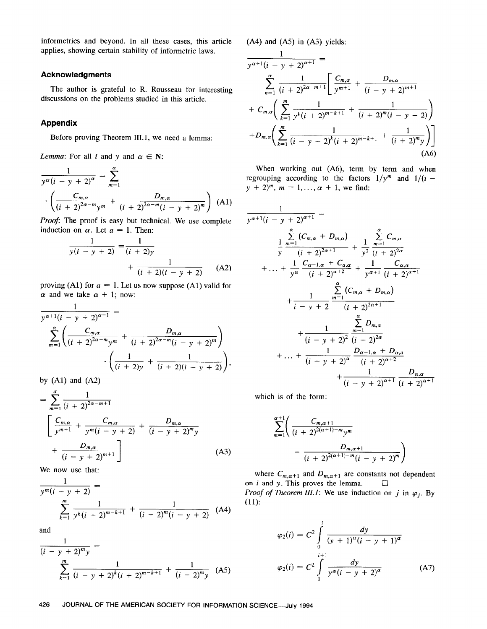informetrics and beyond. In all these cases, this article applies, showing certain stability of informetric laws.

## Acknowledgments

The author is grateful to R. Rousseau for interesting discussions on the problems studied in this article.

## Appendix

Before proving Theorem 111.1, we need a lemma:

*Lemma*: For all *i* and *y* and  $\alpha \in \mathbb{N}$ :

$$
\frac{1}{y^{\alpha}(i - y + 2)^{\alpha}} = \sum_{m=1}^{\alpha} \cdot \left( \frac{C_{m,\alpha}}{(i + 2)^{2\alpha - m}y^m} + \frac{D_{m,\alpha}}{(i + 2)^{2\alpha - m}(i - y + 2)^m} \right) (A1)
$$

Proof: The proof is easy but technical. We use complete induction on  $\alpha$ . Let  $a = 1$ . Then:

$$
\frac{1}{y(i - y + 2)} = \frac{1}{(i + 2)y} + \frac{1}{(i + 2)(i - y + 2)}
$$
 (A2)

proving (A1) for  $a = 1$ . Let us now suppose (A1) valid for  $\alpha$  and we take  $\alpha + 1$ ; now:

$$
\frac{1}{y^{\alpha+1}(i-y+2)^{\alpha+1}} =
$$
\n
$$
\sum_{m=1}^{\alpha} \left( \frac{C_{m,\alpha}}{(i+2)^{2\alpha-m}y^m} + \frac{D_{m,\alpha}}{(i+2)^{2\alpha-m}(i-y+2)^m} \right) \cdot \left( \frac{1}{(i+2)y} + \frac{1}{(i+2)(i-y+2)} \right),
$$

by  $(A1)$  and  $(A2)$ 

$$
= \sum_{m=1}^{\alpha} \frac{1}{(i+2)^{2\alpha-m+1}}
$$
  

$$
\left[ \frac{C_{m,\alpha}}{y^{m+1}} + \frac{C_{m,\alpha}}{y^m(i-y+2)} + \frac{D_{m,\alpha}}{(i-y+2)^m y} + \frac{D_{m,\alpha}}{(i-y+2)^{m+1}} \right]
$$
(A3)

We now use that:

$$
\frac{1}{y^m(i - y + 2)} = \frac{1}{\sum_{k=1}^m \frac{1}{y^k(i + 2)^{m-k+1}} + \frac{1}{(i + 2)^m(i - y + 2)}} \quad (A4)
$$

and

$$
\frac{1}{(i - y + 2)^m y} =
$$
\n
$$
\sum_{k=1}^{m} \frac{1}{(i - y + 2)^k (i + 2)^{m-k+1}} + \frac{1}{(i + 2)^m y} \quad \text{(A5)}
$$

 $(A4)$  and  $(A5)$  in  $(A3)$  yields:

 $\mathbf{A}$ 

$$
\frac{1}{y^{\alpha+1}(i-y+2)^{\alpha+1}} =
$$
\n
$$
\sum_{n=1}^{\alpha} \frac{1}{(i+2)^{2\alpha-m+1}} \left[ \frac{C_{m,\alpha}}{y^{m+1}} + \frac{D_{m,\alpha}}{(i-y+2)^{m+1}} + C_{m,\alpha} \left( \sum_{k=1}^{m} \frac{1}{y^k (i+2)^{m-k+1}} + \frac{1}{(i+2)^m (i-y+2)} \right) + D_{m,\alpha} \left( \sum_{k=1}^{m} \frac{1}{(i-y+2)^k (i+2)^{m-k+1}} + \frac{1}{(i+2)^m y} \right) \right]
$$
\n(A6)

When working out (A6), term by term and when regrouping according to the factors  $1/y^m$  and  $1/(i$  $y + 2)^m$ ,  $m = 1, ..., \alpha + 1$ , we find:

$$
\frac{1}{y^{\alpha+1}(i-y+2)^{\alpha+1}} =
$$
\n
$$
\frac{1}{y} \frac{\sum_{m=1}^{\alpha} (C_{m,\alpha} + D_{m,\alpha})}{(i+2)^{2\alpha+1}} + \frac{1}{y^2} \frac{\sum_{m=1}^{\alpha} C_{m,\alpha}}{(i+2)^{2\alpha}}
$$
\n
$$
+ \ldots + \frac{1}{y^{\alpha}} \frac{C_{\alpha-1,\alpha} + C_{\alpha,\alpha}}{(i+2)^{\alpha+2}} + \frac{1}{y^{\alpha+1}} \frac{C_{\alpha,\alpha}}{(i+2)^{\alpha+1}}
$$
\n
$$
+ \frac{1}{i-y+2} \frac{\sum_{m=1}^{\alpha} (C_{m,\alpha} + D_{m,\alpha})}{(i+2)^{2\alpha+1}}
$$
\n
$$
+ \frac{1}{(i-y+2)^2} \frac{\sum_{m=1}^{\alpha} D_{m,\alpha}}{(i+2)^{2\alpha}}
$$
\n
$$
+ \ldots + \frac{1}{(i-y+2)^{\alpha}} \frac{D_{\alpha-1,\alpha} + D_{\alpha,\alpha}}{(i+2)^{\alpha+2}}
$$
\n
$$
+ \frac{1}{(i-y+2)^{\alpha+1}} \frac{D_{\alpha,\alpha}}{(i+2)^{\alpha+1}}
$$

which is of the form:

$$
\sum_{m=1}^{\alpha+1} \left( \frac{C_{m,\alpha+1}}{(i+2)^{2(\alpha+1)-m} y^m} + \frac{D_{m,\alpha+1}}{(i+2)^{2(\alpha+1)-m} (i-y+2)^m} \right)
$$

where  $C_{m,\alpha+1}$  and  $D_{m,\alpha+1}$  are constants not dependent on *i* and *y*. This proves the lemma.  $\square$ *Proof of Theorem III.1*: We use induction on j in  $\varphi_j$ . By (11):

$$
\varphi_2(i) = C^2 \int_0^i \frac{dy}{(y+1)^\alpha (i-y+1)^\alpha}
$$
  

$$
\varphi_2(i) = C^2 \int_1^{i+1} \frac{dy}{y^\alpha (i-y+2)^\alpha}
$$
 (A7)